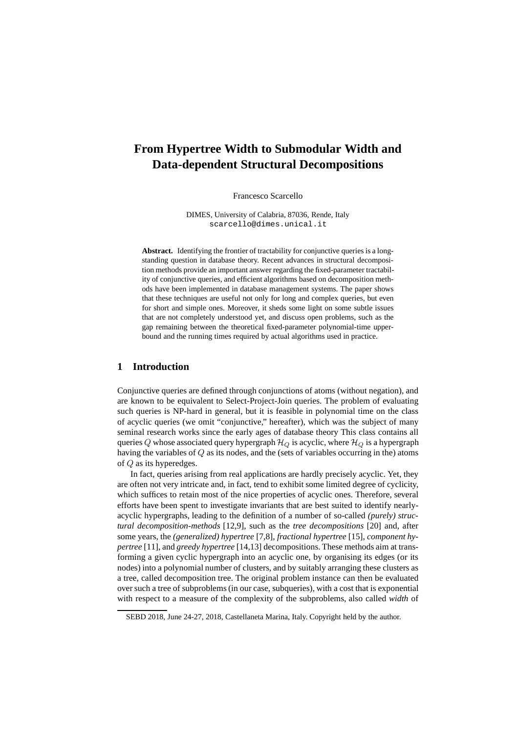# **From Hypertree Width to Submodular Width and Data-dependent Structural Decompositions**

Francesco Scarcello

DIMES, University of Calabria, 87036, Rende, Italy scarcello@dimes.unical.it

**Abstract.** Identifying the frontier of tractability for conjunctive queries is a longstanding question in database theory. Recent advances in structural decomposition methods provide an important answer regarding the fixed-parameter tractability of conjunctive queries, and efficient algorithms based on decomposition methods have been implemented in database management systems. The paper shows that these techniques are useful not only for long and complex queries, but even for short and simple ones. Moreover, it sheds some light on some subtle issues that are not completely understood yet, and discuss open problems, such as the gap remaining between the theoretical fixed-parameter polynomial-time upperbound and the running times required by actual algorithms used in practice.

## **1 Introduction**

Conjunctive queries are defined through conjunctions of atoms (without negation), and are known to be equivalent to Select-Project-Join queries. The problem of evaluating such queries is NP-hard in general, but it is feasible in polynomial time on the class of acyclic queries (we omit "conjunctive," hereafter), which was the subject of many seminal research works since the early ages of database theory This class contains all queries Q whose associated query hypergraph  $\mathcal{H}_Q$  is acyclic, where  $\mathcal{H}_Q$  is a hypergraph having the variables of Q as its nodes, and the (sets of variables occurring in the) atoms of Q as its hyperedges.

In fact, queries arising from real applications are hardly precisely acyclic. Yet, they are often not very intricate and, in fact, tend to exhibit some limited degree of cyclicity, which suffices to retain most of the nice properties of acyclic ones. Therefore, several efforts have been spent to investigate invariants that are best suited to identify nearlyacyclic hypergraphs, leading to the definition of a number of so-called *(purely) structural decomposition-methods* [12,9], such as the *tree decompositions* [20] and, after some years, the *(generalized) hypertree* [7,8], *fractional hypertree* [15], *component hypertree* [11], and *greedy hypertree* [14,13] decompositions. These methods aim at transforming a given cyclic hypergraph into an acyclic one, by organising its edges (or its nodes) into a polynomial number of clusters, and by suitably arranging these clusters as a tree, called decomposition tree. The original problem instance can then be evaluated over such a tree of subproblems (in our case, subqueries), with a cost that is exponential with respect to a measure of the complexity of the subproblems, also called *width* of

SEBD 2018, June 24-27, 2018, Castellaneta Marina, Italy. Copyright held by the author.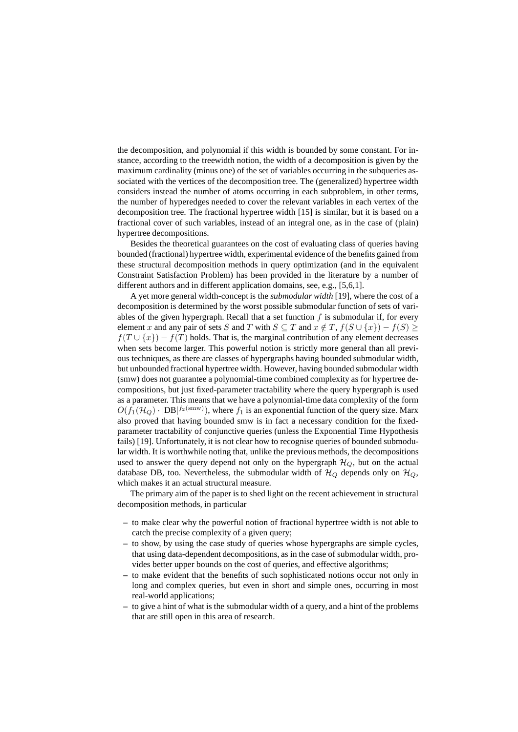the decomposition, and polynomial if this width is bounded by some constant. For instance, according to the treewidth notion, the width of a decomposition is given by the maximum cardinality (minus one) of the set of variables occurring in the subqueries associated with the vertices of the decomposition tree. The (generalized) hypertree width considers instead the number of atoms occurring in each subproblem, in other terms, the number of hyperedges needed to cover the relevant variables in each vertex of the decomposition tree. The fractional hypertree width [15] is similar, but it is based on a fractional cover of such variables, instead of an integral one, as in the case of (plain) hypertree decompositions.

Besides the theoretical guarantees on the cost of evaluating class of queries having bounded (fractional) hypertree width, experimental evidence of the benefits gained from these structural decomposition methods in query optimization (and in the equivalent Constraint Satisfaction Problem) has been provided in the literature by a number of different authors and in different application domains, see, e.g., [5,6,1].

A yet more general width-concept is the *submodular width* [19], where the cost of a decomposition is determined by the worst possible submodular function of sets of variables of the given hypergraph. Recall that a set function  $f$  is submodular if, for every element x and any pair of sets S and T with  $S \subseteq T$  and  $x \notin T$ ,  $f(S \cup \{x\}) - f(S) \ge$  $f(T \cup \{x\}) - f(T)$  holds. That is, the marginal contribution of any element decreases when sets become larger. This powerful notion is strictly more general than all previous techniques, as there are classes of hypergraphs having bounded submodular width, but unbounded fractional hypertree width. However, having bounded submodular width (smw) does not guarantee a polynomial-time combined complexity as for hypertree decompositions, but just fixed-parameter tractability where the query hypergraph is used as a parameter. This means that we have a polynomial-time data complexity of the form  $O(f_1(\mathcal{H}_Q) \cdot |DB|^{f_2(\text{smw})})$ , where  $f_1$  is an exponential function of the query size. Marx also proved that having bounded smw is in fact a necessary condition for the fixedparameter tractability of conjunctive queries (unless the Exponential Time Hypothesis fails) [19]. Unfortunately, it is not clear how to recognise queries of bounded submodular width. It is worthwhile noting that, unlike the previous methods, the decompositions used to answer the query depend not only on the hypergraph  $\mathcal{H}_{Q}$ , but on the actual database DB, too. Nevertheless, the submodular width of  $\mathcal{H}_Q$  depends only on  $\mathcal{H}_Q$ , which makes it an actual structural measure.

The primary aim of the paper is to shed light on the recent achievement in structural decomposition methods, in particular

- **–** to make clear why the powerful notion of fractional hypertree width is not able to catch the precise complexity of a given query;
- **–** to show, by using the case study of queries whose hypergraphs are simple cycles, that using data-dependent decompositions, as in the case of submodular width, provides better upper bounds on the cost of queries, and effective algorithms;
- **–** to make evident that the benefits of such sophisticated notions occur not only in long and complex queries, but even in short and simple ones, occurring in most real-world applications;
- **–** to give a hint of what is the submodular width of a query, and a hint of the problems that are still open in this area of research.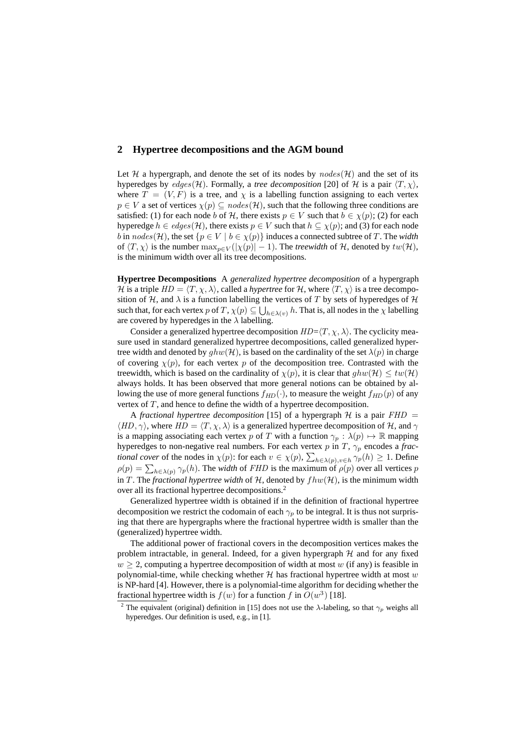## **2 Hypertree decompositions and the AGM bound**

Let H a hypergraph, and denote the set of its nodes by  $nodes(\mathcal{H})$  and the set of its hyperedges by  $edges(\mathcal{H})$ . Formally, a *tree decomposition* [20] of  $\mathcal H$  is a pair  $\langle T, \chi \rangle$ , where  $T = (V, F)$  is a tree, and  $\chi$  is a labelling function assigning to each vertex  $p \in V$  a set of vertices  $\chi(p) \subseteq nodes(\mathcal{H})$ , such that the following three conditions are satisfied: (1) for each node b of H, there exists  $p \in V$  such that  $b \in \chi(p)$ ; (2) for each hyperedge  $h \in edges(\mathcal{H})$ , there exists  $p \in V$  such that  $h \subseteq \chi(p)$ ; and (3) for each node b in  $nodes(\mathcal{H})$ , the set  $\{p \in V \mid b \in \chi(p)\}\$  induces a connected subtree of T. The *width* of  $\langle T, \chi \rangle$  is the number  $\max_{p \in V} (|\chi(p)| - 1)$ . The *treewidth* of H, denoted by  $tw(\mathcal{H})$ , is the minimum width over all its tree decompositions.

**Hypertree Decompositions** A *generalized hypertree decomposition* of a hypergraph H is a triple  $HD = \langle T, \chi, \lambda \rangle$ , called a *hypertree* for H, where  $\langle T, \chi \rangle$  is a tree decomposition of H, and  $\lambda$  is a function labelling the vertices of T by sets of hyperedges of H such that, for each vertex  $p$  of  $T$ ,  $\chi(p) \subseteq \bigcup_{h \in \lambda(v)} h$ . That is, all nodes in the  $\chi$  labelling are covered by hyperedges in the  $\lambda$  labelling.

Consider a generalized hypertree decomposition  $HD=\langle T, \chi, \lambda \rangle$ . The cyclicity measure used in standard generalized hypertree decompositions, called generalized hypertree width and denoted by  $ghw(\mathcal{H})$ , is based on the cardinality of the set  $\lambda(p)$  in charge of covering  $\chi(p)$ , for each vertex p of the decomposition tree. Contrasted with the treewidth, which is based on the cardinality of  $\chi(p)$ , it is clear that  $ghw(\mathcal{H}) \leq tw(\mathcal{H})$ always holds. It has been observed that more general notions can be obtained by allowing the use of more general functions  $f_{HD}(\cdot)$ , to measure the weight  $f_{HD}(p)$  of any vertex of  $T$ , and hence to define the width of a hypertree decomposition.

A *fractional hypertree decomposition* [15] of a hypergraph  $H$  is a pair  $FHD =$  $\langle HD, \gamma \rangle$ , where  $HD = \langle T, \chi, \lambda \rangle$  is a generalized hypertree decomposition of H, and  $\gamma$ is a mapping associating each vertex p of T with a function  $\gamma_p : \lambda(p) \mapsto \mathbb{R}$  mapping hyperedges to non-negative real numbers. For each vertex  $p$  in  $T$ ,  $\gamma_p$  encodes a *fractional cover* of the nodes in  $\chi(p)$ : for each  $v \in \chi(p)$ ,  $\sum_{h \in \lambda(p), v \in h} \gamma_p(h) \ge 1$ . Define  $\rho(p) = \sum_{h \in \lambda(p)} \gamma_p(h)$ . The *width* of *FHD* is the maximum of  $\rho(p)$  over all vertices p in T. The *fractional hypertree width* of H, denoted by  $fhw(\mathcal{H})$ , is the minimum width over all its fractional hypertree decompositions.<sup>2</sup>

Generalized hypertree width is obtained if in the definition of fractional hypertree decomposition we restrict the codomain of each  $\gamma_p$  to be integral. It is thus not surprising that there are hypergraphs where the fractional hypertree width is smaller than the (generalized) hypertree width.

The additional power of fractional covers in the decomposition vertices makes the problem intractable, in general. Indeed, for a given hypergraph  $H$  and for any fixed  $w \geq 2$ , computing a hypertree decomposition of width at most w (if any) is feasible in polynomial-time, while checking whether  $H$  has fractional hypertree width at most w is NP-hard [4]. However, there is a polynomial-time algorithm for deciding whether the fractional hypertree width is  $f(w)$  for a function f in  $O(w^3)$  [18].

<sup>&</sup>lt;sup>2</sup> The equivalent (original) definition in [15] does not use the  $\lambda$ -labeling, so that  $\gamma_p$  weighs all hyperedges. Our definition is used, e.g., in [1].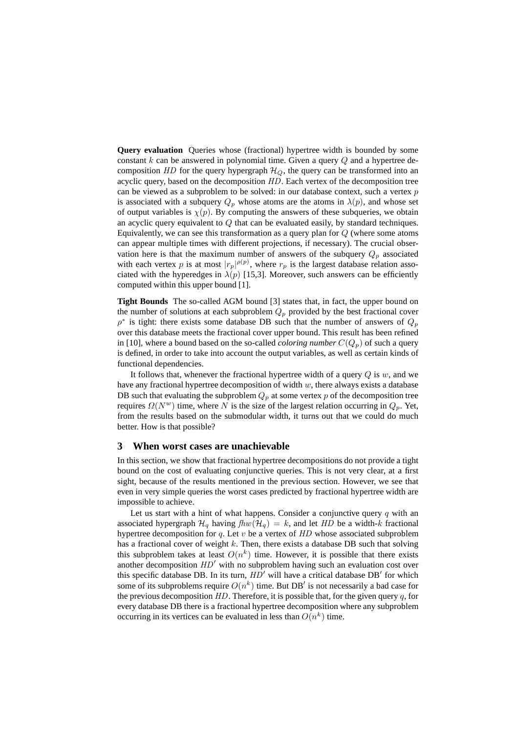**Query evaluation** Queries whose (fractional) hypertree width is bounded by some constant k can be answered in polynomial time. Given a query  $Q$  and a hypertree decomposition HD for the query hypergraph  $\mathcal{H}_Q$ , the query can be transformed into an acyclic query, based on the decomposition HD. Each vertex of the decomposition tree can be viewed as a subproblem to be solved: in our database context, such a vertex  $p$ is associated with a subquery  $Q_p$  whose atoms are the atoms in  $\lambda(p)$ , and whose set of output variables is  $\chi(p)$ . By computing the answers of these subqueries, we obtain an acyclic query equivalent to  $Q$  that can be evaluated easily, by standard techniques. Equivalently, we can see this transformation as a query plan for  $Q$  (where some atoms can appear multiple times with different projections, if necessary). The crucial observation here is that the maximum number of answers of the subquery  $Q_p$  associated with each vertex p is at most  $|r_p|^{p(p)}$ , where  $r_p$  is the largest database relation associated with the hyperedges in  $\lambda(p)$  [15,3]. Moreover, such answers can be efficiently computed within this upper bound [1].

**Tight Bounds** The so-called AGM bound [3] states that, in fact, the upper bound on the number of solutions at each subproblem  $Q_p$  provided by the best fractional cover  $\rho^*$  is tight: there exists some database DB such that the number of answers of  $Q_p$ over this database meets the fractional cover upper bound. This result has been refined in [10], where a bound based on the so-called *coloring number*  $C(Q_p)$  of such a query is defined, in order to take into account the output variables, as well as certain kinds of functional dependencies.

It follows that, whenever the fractional hypertree width of a query  $Q$  is  $w$ , and we have any fractional hypertree decomposition of width  $w$ , there always exists a database DB such that evaluating the subproblem  $Q_p$  at some vertex p of the decomposition tree requires  $\Omega(N^w)$  time, where N is the size of the largest relation occurring in  $Q_p$ . Yet, from the results based on the submodular width, it turns out that we could do much better. How is that possible?

### **3 When worst cases are unachievable**

In this section, we show that fractional hypertree decompositions do not provide a tight bound on the cost of evaluating conjunctive queries. This is not very clear, at a first sight, because of the results mentioned in the previous section. However, we see that even in very simple queries the worst cases predicted by fractional hypertree width are impossible to achieve.

Let us start with a hint of what happens. Consider a conjunctive query  $q$  with an associated hypergraph  $\mathcal{H}_q$  having  $fhw(\mathcal{H}_q) = k$ , and let HD be a width-k fractional hypertree decomposition for q. Let v be a vertex of  $HD$  whose associated subproblem has a fractional cover of weight  $k$ . Then, there exists a database DB such that solving this subproblem takes at least  $O(n^k)$  time. However, it is possible that there exists another decomposition HD′ with no subproblem having such an evaluation cost over this specific database DB. In its turn,  $HD'$  will have a critical database DB' for which some of its subproblems require  $O(n^k)$  time. But DB' is not necessarily a bad case for the previous decomposition  $HD$ . Therefore, it is possible that, for the given query  $q$ , for every database DB there is a fractional hypertree decomposition where any subproblem occurring in its vertices can be evaluated in less than  $O(n^k)$  time.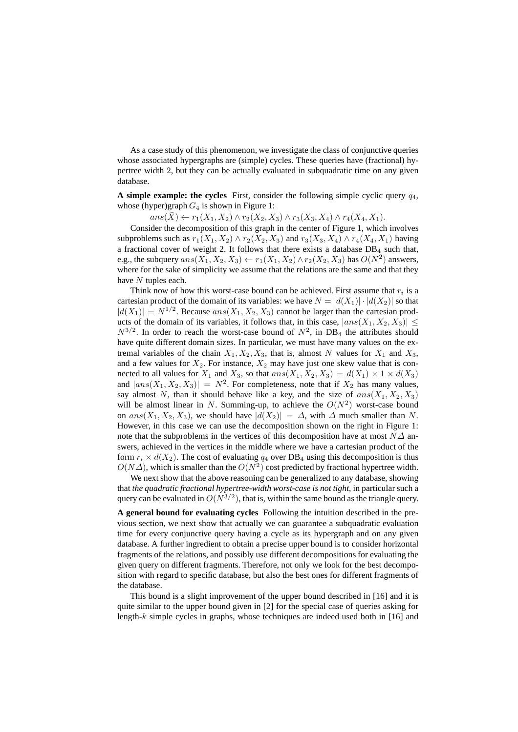As a case study of this phenomenon, we investigate the class of conjunctive queries whose associated hypergraphs are (simple) cycles. These queries have (fractional) hypertree width 2, but they can be actually evaluated in subquadratic time on any given database.

**A simple example: the cycles** First, consider the following simple cyclic query  $q_4$ , whose (hyper)graph  $G_4$  is shown in Figure 1:

 $ans(\bar{X}) \leftarrow r_1(X_1, X_2) \wedge r_2(X_2, X_3) \wedge r_3(X_3, X_4) \wedge r_4(X_4, X_1).$ 

Consider the decomposition of this graph in the center of Figure 1, which involves subproblems such as  $r_1(X_1, X_2) \wedge r_2(X_2, X_3)$  and  $r_3(X_3, X_4) \wedge r_4(X_4, X_1)$  having a fractional cover of weight 2. It follows that there exists a database  $DB<sub>4</sub>$  such that, e.g., the subquery  $ans(X_1, X_2, X_3) \leftarrow r_1(X_1, X_2) \wedge r_2(X_2, X_3)$  has  $O(N^2)$  answers, where for the sake of simplicity we assume that the relations are the same and that they have  $N$  tuples each.

Think now of how this worst-case bound can be achieved. First assume that  $r_i$  is a cartesian product of the domain of its variables: we have  $N = |d(X_1)| \cdot |d(X_2)|$  so that  $|d(X_1)| = N^{1/2}$ . Because  $ans(X_1, X_2, X_3)$  cannot be larger than the cartesian products of the domain of its variables, it follows that, in this case,  $|ans(X_1, X_2, X_3)| \leq$  $N^{3/2}$ . In order to reach the worst-case bound of  $N^2$ , in DB<sub>4</sub> the attributes should have quite different domain sizes. In particular, we must have many values on the extremal variables of the chain  $X_1, X_2, X_3$ , that is, almost N values for  $X_1$  and  $X_3$ , and a few values for  $X_2$ . For instance,  $X_2$  may have just one skew value that is connected to all values for  $X_1$  and  $X_3$ , so that  $ans(X_1, X_2, X_3) = d(X_1) \times 1 \times d(X_3)$ and  $|ans(X_1, X_2, X_3)| = N^2$ . For completeness, note that if  $X_2$  has many values, say almost N, than it should behave like a key, and the size of  $ans(X_1, X_2, X_3)$ will be almost linear in N. Summing-up, to achieve the  $O(N^2)$  worst-case bound on ans(X<sub>1</sub>, X<sub>2</sub>, X<sub>3</sub>), we should have  $|d(X_2)| = \Delta$ , with  $\Delta$  much smaller than N. However, in this case we can use the decomposition shown on the right in Figure 1: note that the subproblems in the vertices of this decomposition have at most  $N\Delta$  answers, achieved in the vertices in the middle where we have a cartesian product of the form  $r_i \times d(X_2)$ . The cost of evaluating  $q_4$  over DB<sub>4</sub> using this decomposition is thus  $O(N\Delta)$ , which is smaller than the  $O(N^2)$  cost predicted by fractional hypertree width.

We next show that the above reasoning can be generalized to any database, showing that *the quadratic fractional hypertree-width worst-case is not tight*, in particular such a query can be evaluated in  $O(N^{3/2})$ , that is, within the same bound as the triangle query.

**A general bound for evaluating cycles** Following the intuition described in the previous section, we next show that actually we can guarantee a subquadratic evaluation time for every conjunctive query having a cycle as its hypergraph and on any given database. A further ingredient to obtain a precise upper bound is to consider horizontal fragments of the relations, and possibly use different decompositions for evaluating the given query on different fragments. Therefore, not only we look for the best decomposition with regard to specific database, but also the best ones for different fragments of the database.

This bound is a slight improvement of the upper bound described in [16] and it is quite similar to the upper bound given in [2] for the special case of queries asking for length- $k$  simple cycles in graphs, whose techniques are indeed used both in [16] and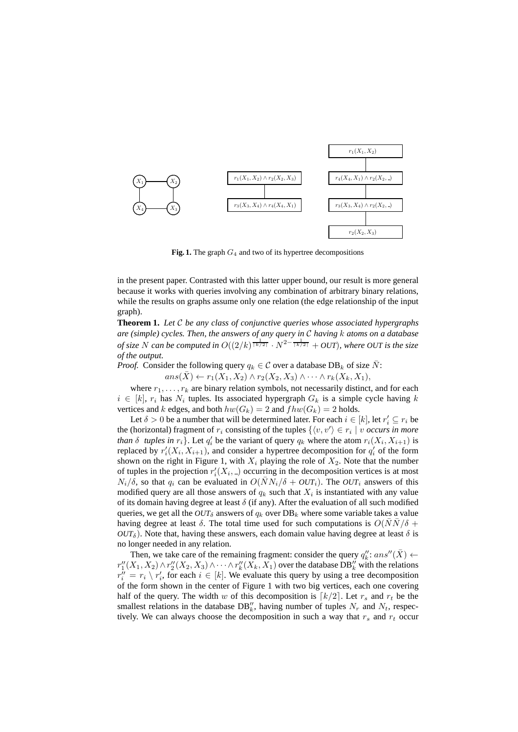

**Fig. 1.** The graph  $G_4$  and two of its hypertree decompositions

in the present paper. Contrasted with this latter upper bound, our result is more general because it works with queries involving any combination of arbitrary binary relations, while the results on graphs assume only one relation (the edge relationship of the input graph).

**Theorem 1.** *Let* C *be any class of conjunctive queries whose associated hypergraphs are (simple) cycles. Then, the answers of any query in* C *having* k *atoms on a database of size* N *can be computed in*  $O((2/k)^{\frac{1}{\lceil k/2 \rceil}} \cdot N^{2-\frac{1}{\lceil k/2 \rceil}} + OUT)$ *, where OUT is the size of the output.*

*Proof.* Consider the following query  $q_k \in \mathcal{C}$  over a database DB<sub>k</sub> of size  $\overline{N}$ :

 $ans(\bar{X}) \leftarrow r_1(X_1, X_2) \wedge r_2(X_2, X_3) \wedge \cdots \wedge r_k(X_k, X_1),$ 

where  $r_1, \ldots, r_k$  are binary relation symbols, not necessarily distinct, and for each  $i \in [k]$ ,  $r_i$  has  $N_i$  tuples. Its associated hypergraph  $G_k$  is a simple cycle having k vertices and k edges, and both  $hw(G_k) = 2$  and  $fhw(G_k) = 2$  holds.

Let  $\delta > 0$  be a number that will be determined later. For each  $i \in [k]$ , let  $r'_i \subseteq r_i$  be the (horizontal) fragment of  $r_i$  consisting of the tuples  $\{\langle v, v' \rangle \in r_i \mid v$  *occurs in more than*  $\delta$  *tuples in*  $r_i$ . Let  $q'_i$  be the variant of query  $q_k$  where the atom  $r_i(X_i, X_{i+1})$  is replaced by  $r'_{i}(X_{i}, X_{i+1})$ , and consider a hypertree decomposition for  $q'_{i}$  of the form shown on the right in Figure 1, with  $X_i$  playing the role of  $X_2$ . Note that the number of tuples in the projection  $r'_{i}(X_{i},)$  occurring in the decomposition vertices is at most  $N_i/\delta$ , so that  $q_i$  can be evaluated in  $O(NN_i/\delta + OUT_i)$ . The  $OUT_i$  answers of this modified query are all those answers of  $q_k$  such that  $X_i$  is instantiated with any value of its domain having degree at least  $\delta$  (if any). After the evaluation of all such modified queries, we get all the  $OUT<sub>δ</sub>$  answers of  $q<sub>k</sub>$  over  $DB<sub>k</sub>$  where some variable takes a value having degree at least  $\delta$ . The total time used for such computations is  $O(NN/\delta +$  $OUT_{\delta}$ ). Note that, having these answers, each domain value having degree at least  $\delta$  is no longer needed in any relation.

Then, we take care of the remaining fragment: consider the query  $q_k''$ :  $ans''(\bar{X}) \leftarrow$ Then, we take eare of the remaining Hagment. Consider the query  $q_k$ ,  $ans(\lambda) \leftarrow$ <br> $r''_1(X_1, X_2) \wedge r''_2(X_2, X_3) \wedge \cdots \wedge r''_k(X_k, X_1)$  over the database DB'' with the relations  $r''_i = r_i \setminus r'_i$ , for each  $i \in [k]$ . We evaluate this query by using a tree decomposition of the form shown in the center of Figure 1 with two big vertices, each one covering half of the query. The width w of this decomposition is  $\lceil k/2 \rceil$ . Let  $r_s$  and  $r_t$  be the smallest relations in the database  $DB''_k$ , having number of tuples  $N_r$  and  $N_t$ , respectively. We can always choose the decomposition in such a way that  $r_s$  and  $r_t$  occur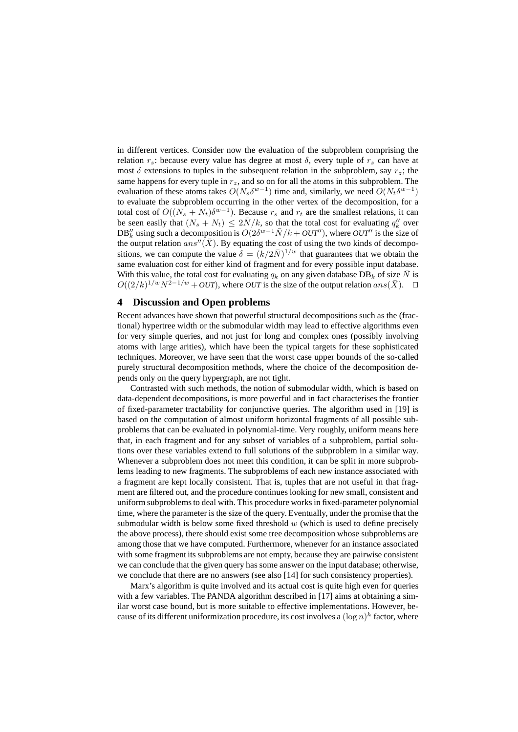in different vertices. Consider now the evaluation of the subproblem comprising the relation  $r_s$ : because every value has degree at most  $\delta$ , every tuple of  $r_s$  can have at most  $\delta$  extensions to tuples in the subsequent relation in the subproblem, say  $r_z$ ; the same happens for every tuple in  $r<sub>z</sub>$ , and so on for all the atoms in this subproblem. The evaluation of these atoms takes  $O(N_s \delta^{w-1})$  time and, similarly, we need  $O(N_t \delta^{w-1})$ to evaluate the subproblem occurring in the other vertex of the decomposition, for a total cost of  $O((N_s + N_t)\delta^{w-1})$ . Because  $r_s$  and  $r_t$  are the smallest relations, it can be seen easily that  $(N_s + N_t) \leq 2\bar{N}/k$ , so that the total cost for evaluating  $q''_k$  over DB<sup>''</sup><sub>k</sub> using such a decomposition is  $O(2\delta^{w-1}\bar{N}/k + \frac{OUT'}{N})$ , where  $OUT''$  is the size of the output relation  $ans''(\bar{X})$ . By equating the cost of using the two kinds of decompositions, we can compute the value  $\delta = (k/2\bar{N})^{1/w}$  that guarantees that we obtain the same evaluation cost for either kind of fragment and for every possible input database. With this value, the total cost for evaluating  $q_k$  on any given database DB<sub>k</sub> of size  $\bar{N}$  is  $O((2/k)^{1/w}N^{2-1/w} + OUT)$ , where *OUT* is the size of the output relation ans( $\bar{X}$ ). □

### **4 Discussion and Open problems**

Recent advances have shown that powerful structural decompositions such as the (fractional) hypertree width or the submodular width may lead to effective algorithms even for very simple queries, and not just for long and complex ones (possibly involving atoms with large arities), which have been the typical targets for these sophisticated techniques. Moreover, we have seen that the worst case upper bounds of the so-called purely structural decomposition methods, where the choice of the decomposition depends only on the query hypergraph, are not tight.

Contrasted with such methods, the notion of submodular width, which is based on data-dependent decompositions, is more powerful and in fact characterises the frontier of fixed-parameter tractability for conjunctive queries. The algorithm used in [19] is based on the computation of almost uniform horizontal fragments of all possible subproblems that can be evaluated in polynomial-time. Very roughly, uniform means here that, in each fragment and for any subset of variables of a subproblem, partial solutions over these variables extend to full solutions of the subproblem in a similar way. Whenever a subproblem does not meet this condition, it can be split in more subproblems leading to new fragments. The subproblems of each new instance associated with a fragment are kept locally consistent. That is, tuples that are not useful in that fragment are filtered out, and the procedure continues looking for new small, consistent and uniform subproblems to deal with. This procedure works in fixed-parameter polynomial time, where the parameter is the size of the query. Eventually, under the promise that the submodular width is below some fixed threshold  $w$  (which is used to define precisely the above process), there should exist some tree decomposition whose subproblems are among those that we have computed. Furthermore, whenever for an instance associated with some fragment its subproblems are not empty, because they are pairwise consistent we can conclude that the given query has some answer on the input database; otherwise, we conclude that there are no answers (see also [14] for such consistency properties).

Marx's algorithm is quite involved and its actual cost is quite high even for queries with a few variables. The PANDA algorithm described in [17] aims at obtaining a similar worst case bound, but is more suitable to effective implementations. However, because of its different uniformization procedure, its cost involves a  $(\log n)^h$  factor, where